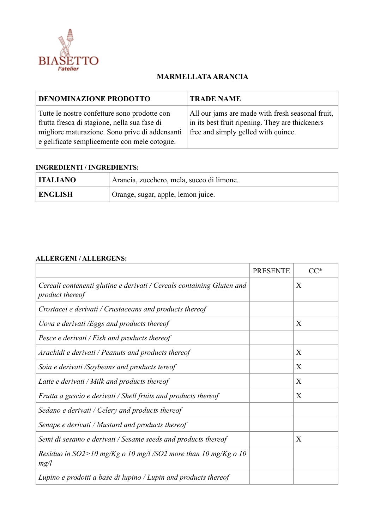

## **MARMELLATA ARANCIA**

| <b>DENOMINAZIONE PRODOTTO</b>                                                                                                                                                                  | <b>TRADE NAME</b>                                                                                                                          |
|------------------------------------------------------------------------------------------------------------------------------------------------------------------------------------------------|--------------------------------------------------------------------------------------------------------------------------------------------|
| Tutte le nostre confetture sono prodotte con<br>frutta fresca di stagione, nella sua fase di<br>migliore maturazione. Sono prive di addensanti<br>e gelificate semplicemente con mele cotogne. | All our jams are made with fresh seasonal fruit,<br>in its best fruit ripening. They are thickeners<br>free and simply gelled with quince. |

## **INGREDIENTI / INGREDIENTS:**

| <b>ITALIANO</b> | Arancia, zucchero, mela, succo di limone.       |
|-----------------|-------------------------------------------------|
| <b>ENGLISH</b>  | <sup>1</sup> Orange, sugar, apple, lemon juice. |

## **ALLERGENI / ALLERGENS:**

|                                                                                                 | <b>PRESENTE</b> |   |
|-------------------------------------------------------------------------------------------------|-----------------|---|
| Cereali contenenti glutine e derivati / Cereals containing Gluten and<br><i>product thereof</i> |                 | X |
| Crostacei e derivati / Crustaceans and products thereof                                         |                 |   |
| Uova e derivati /Eggs and products thereof                                                      |                 | X |
| Pesce e derivati / Fish and products thereof                                                    |                 |   |
| Arachidi e derivati / Peanuts and products thereof                                              |                 | X |
| Soia e derivati /Soybeans and products tereof                                                   |                 | X |
| Latte e derivati / Milk and products thereof                                                    |                 | X |
| Frutta a guscio e derivati / Shell fruits and products thereof                                  |                 | X |
| Sedano e derivati / Celery and products thereof                                                 |                 |   |
| Senape e derivati / Mustard and products thereof                                                |                 |   |
| Semi di sesamo e derivati / Sesame seeds and products thereof                                   |                 | X |
| Residuo in SO2>10 mg/Kg o 10 mg/l /SO2 more than 10 mg/Kg o 10<br>mg/l                          |                 |   |
| Lupino e prodotti a base di lupino / Lupin and products thereof                                 |                 |   |